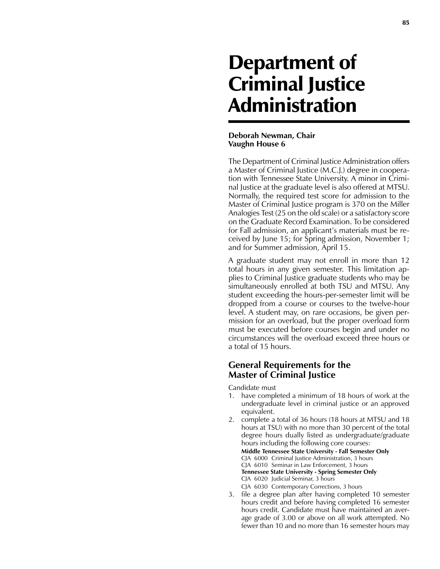## Department of Criminal Justice Administration

## **Deborah Newman, Chair Vaughn House 6**

The Department of Criminal Justice Administration offers a Master of Criminal Justice (M.C.J.) degree in cooperation with Tennessee State University. A minor in Criminal Justice at the graduate level is also offered at MTSU. Normally, the required test score for admission to the Master of Criminal Justice program is 370 on the Miller Analogies Test (25 on the old scale) or a satisfactory score on the Graduate Record Examination. To be considered for Fall admission, an applicant's materials must be received by June 15; for Spring admission, November 1; and for Summer admission, April 15.

A graduate student may not enroll in more than 12 total hours in any given semester. This limitation applies to Criminal Justice graduate students who may be simultaneously enrolled at both TSU and MTSU. Any student exceeding the hours-per-semester limit will be dropped from a course or courses to the twelve-hour level. A student may, on rare occasions, be given permission for an overload, but the proper overload form must be executed before courses begin and under no circumstances will the overload exceed three hours or a total of 15 hours.

## **General Requirements for the Master of Criminal Justice**

Candidate must

- 1. have completed a minimum of 18 hours of work at the undergraduate level in criminal justice or an approved equivalent.
- 2. complete a total of 36 hours (18 hours at MTSU and 18 hours at TSU) with no more than 30 percent of the total degree hours dually listed as undergraduate/graduate hours including the following core courses: **Middle Tennessee State University - Fall Semester Only** CJA 6000 Criminal Justice Administration, 3 hours CJA 6010 Seminar in Law Enforcement, 3 hours **Tennessee State University - Spring Semester Only** CJA 6020 Judicial Seminar, 3 hours CJA 6030 Contemporary Corrections, 3 hours
- 3. file a degree plan after having completed 10 semester hours credit and before having completed 16 semester hours credit. Candidate must have maintained an average grade of 3.00 or above on all work attempted. No fewer than 10 and no more than 16 semester hours may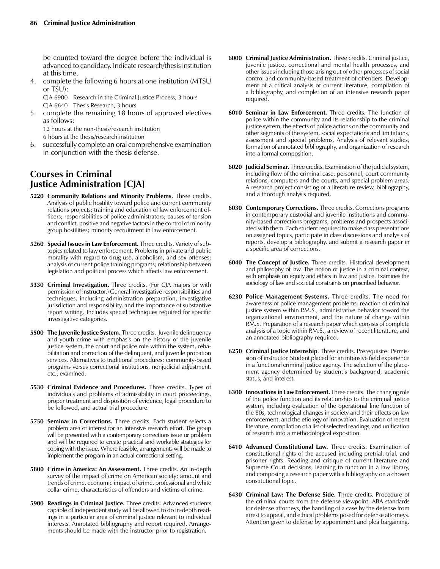be counted toward the degree before the individual is advanced to candidacy. Indicate research/thesis institution at this time.

4. complete the following 6 hours at one institution (MTSU or TSU):

CJA 6900 Research in the Criminal Justice Process, 3 hours CJA 6640 Thesis Research, 3 hours

5. complete the remaining 18 hours of approved electives as follows:

12 hours at the non-thesis/research institution 6 hours at the thesis/research institution

6. successfully complete an oral comprehensive examination in conjunction with the thesis defense.

## **Courses in Criminal Justice Administration [CJA]**

- **5220 Community Relations and Minority Problems**. Three credits. Analysis of public hostility toward police and current community relations projects; training and education of law enforcement officers; responsibilities of police administrators; causes of tension and conflict, positive and negative factors in the control of minority group hostilities; minority recruitment in law enforcement.
- **5260 Special Issues in Law Enforcement.** Three credits. Variety of subtopics related to law enforcement. Problems in private and public morality with regard to drug use, alcoholism, and sex offenses; analysis of current police training programs; relationship between legislation and political process which affects law enforcement.
- **5330 Criminal Investigation.** Three credits. (For CJA majors or with permission of instructor.) General investigative responsibilities and techniques, including administration preparation, investigative jurisdiction and responsibility, and the importance of substantive report writing. Includes special techniques required for specific investigative categories.
- **5500 The Juvenile Justice System.** Three credits. Juvenile delinquency and youth crime with emphasis on the history of the juvenile justice system, the court and police role within the system, rehabilitation and correction of the delinquent, and juvenile probation services. Alternatives to traditional procedures: community-based programs versus correctional institutions, nonjudicial adjustment, etc., examined.
- **5530 Criminal Evidence and Procedures.** Three credits. Types of individuals and problems of admissibility in court proceedings, proper treatment and disposition of evidence, legal procedure to be followed, and actual trial procedure.
- **5750 Seminar in Corrections.** Three credits. Each student selects a problem area of interest for an intensive research effort. The group will be presented with a contemporary corrections issue or problem and will be required to create practical and workable strategies for coping with the issue. Where feasible, arrangements will be made to implement the program in an actual correctional setting.
- **5800 Crime in America: An Assessment.** Three credits. An in-depth survey of the impact of crime on American society: amount and trends of crime, economic impact of crime, professional and white collar crime, characteristics of offenders and victims of crime.
- **5900 Readings in Criminal Justice.** Three credits. Advanced students capable of independent study will be allowed to do in-depth readings in a particular area of criminal justice relevant to individual interests. Annotated bibliography and report required. Arrangements should be made with the instructor prior to registration.
- **6000 Criminal Justice Administration.** Three credits. Criminal justice, juvenile justice, correctional and mental health processes, and other issues including those arising out of other processes of social control and community-based treatment of offenders. Development of a critical analysis of current literature, compilation of a bibliography, and completion of an intensive research paper required.
- **6010 Seminar in Law Enforcement.** Three credits. The function of police within the community and its relationship to the criminal justice system, the effects of police actions on the community and other segments of the system, social expectations and limitations, assessment and special problems. Analysis of relevant studies, formation of annotated bibliography, and organization of research into a formal composition.
- **6020 Judicial Seminar.** Three credits. Examination of the judicial system, including flow of the criminal case, personnel, court community relations, computers and the courts, and special problem areas. A research project consisting of a literature review, bibliography, and a thorough analysis required.
- **6030 Contemporary Corrections.** Three credits. Corrections programs in contemporary custodial and juvenile institutions and community-based corrections programs; problems and prospects associated with them. Each student required to make class presentations on assigned topics, participate in class discussions and analysis of reports, develop a bibliography, and submit a research paper in a specific area of corrections.
- **6040 The Concept of Justice.** Three credits. Historical development and philosophy of law. The notion of justice in a criminal context, with emphasis on equity and ethics in law and justice. Examines the sociology of law and societal constraints on proscribed behavior.
- **6230 Police Management Systems.** Three credits. The need for awareness of police management problems, reaction of criminal justice system within P.M.S., administrative behavior toward the organizational environment, and the nature of change within P.M.S. Preparation of a research paper which consists of complete analysis of a topic within P.M.S., a review of recent literature, and an annotated bibliography required.
- **6250 Criminal Justice Internship**. Three credits. Prerequisite: Permission of instructor. Student placed for an intensive field experience in a functional criminal justice agency. The selection of the placement agency determined by student's background, academic status, and interest.
- **6300 Innovations in Law Enforcement.** Three credits. The changing role of the police function and its relationship to the criminal justice system, including evaluation of the operational line function of the 80s, technological changes in society and their effects on law enforcement, and the etiology of innovation. Evaluation of recent literature, compilation of a list of selected readings, and unification of research into a methodological exposition.
- **6410 Advanced Constitutional Law.** Three credits. Examination of constitutional rights of the accused including pretrial, trial, and prisoner rights. Reading and critique of current literature and Supreme Court decisions, learning to function in a law library, and composing a research paper with a bibliography on a chosen constitutional topic.
- **6430 Criminal Law: The Defense Side.** Three credits. Procedure of the criminal courts from the defense viewpoint. ABA standards for defense attorneys, the handling of a case by the defense from arrest to appeal, and ethical problems posed for defense attorneys. Attention given to defense by appointment and plea bargaining.